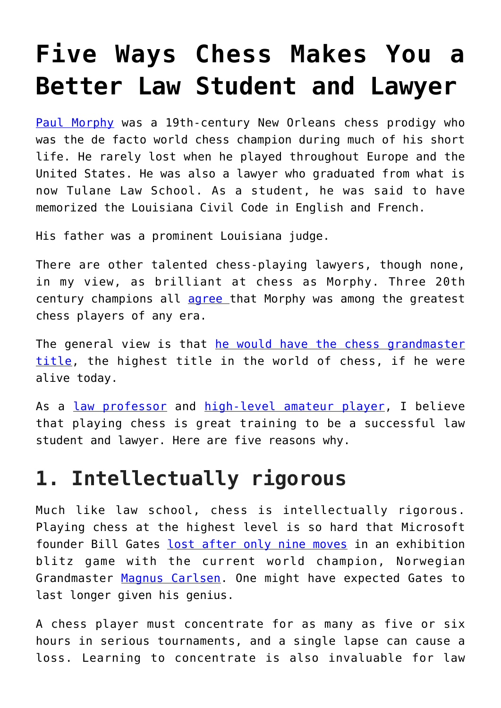# **[Five Ways Chess Makes You a](https://intellectualtakeout.org/2019/12/five-ways-chess-makes-you-a-better-law-student-and-lawyer/) [Better Law Student and Lawyer](https://intellectualtakeout.org/2019/12/five-ways-chess-makes-you-a-better-law-student-and-lawyer/)**

[Paul Morphy](https://www.jstor.org/stable/4233011) was a 19th-century New Orleans chess prodigy who was the de facto world chess champion during much of his short life. He rarely lost when he played throughout Europe and the United States. He was also a lawyer who graduated from what is now Tulane Law School. As a student, he was said to have memorized the Louisiana Civil Code in English and French.

His father was a prominent Louisiana judge.

There are other talented chess-playing lawyers, though none, in my view, as brilliant at chess as Morphy. Three 20th century champions all [agree t](https://www.quora.com/Chess-Would-Paul-Morphy-in-his-short-prime-be-competitive-with-the-Grandmasters-of-today)hat Morphy was among the greatest chess players of any era.

The general view is that [he would have the chess grandmaster](https://books.google.com/books/about/Paul_Morphy.html?id=hdsPr9XiJ6wC) [title,](https://books.google.com/books/about/Paul_Morphy.html?id=hdsPr9XiJ6wC) the highest title in the world of chess, if he were alive today.

As a [law professor](https://scholar.google.com/citations?user=1UdCHtYAAAAJ&hl=en&oi=ao) and [high-level amateur player,](http://www.uschess.org/datapage/ratings_graph.php?memid=12542397) I believe that playing chess is great training to be a successful law student and lawyer. Here are five reasons why.

#### **1. Intellectually rigorous**

Much like law school, chess is intellectually rigorous. Playing chess at the highest level is so hard that Microsoft founder Bill Gates [lost after only nine moves](https://www.nytimes.com/2014/02/09/crosswords/chess/magnus-carlsen-picks-up-where-he-left-off.html) in an exhibition blitz game with the current world champion, Norwegian Grandmaster [Magnus Carlsen](https://www.chess.com/players/magnus-carlsen). One might have expected Gates to last longer given his genius.

A chess player must concentrate for as many as five or six hours in serious tournaments, and a single lapse can cause a loss. Learning to concentrate is also invaluable for law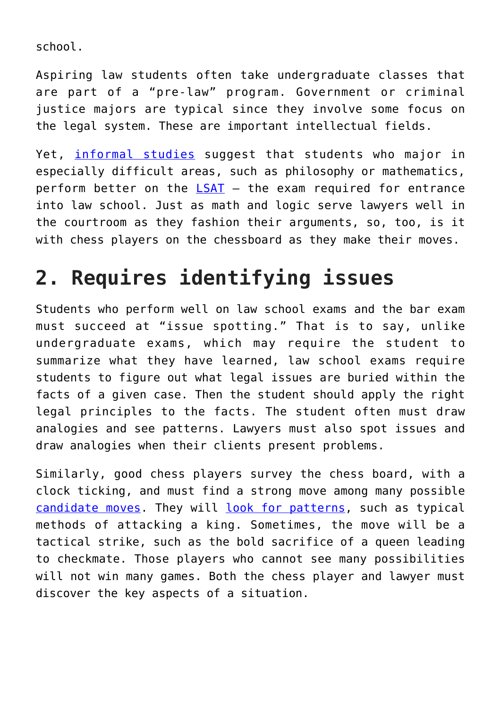school.

Aspiring law students often take undergraduate classes that are part of a "pre-law" program. Government or criminal justice majors are typical since they involve some focus on the legal system. These are important intellectual fields.

Yet, [informal studies](https://leiterlawschool.typepad.com/leiter/2008/04/which-undergrad.html) suggest that students who major in especially difficult areas, such as philosophy or mathematics, perform better on the [LSAT](https://www.lsac.org/lsat) – the exam required for entrance into law school. Just as math and logic serve lawyers well in the courtroom as they fashion their arguments, so, too, is it with chess players on the chessboard as they make their moves.

## **2. Requires identifying issues**

Students who perform well on law school exams and the bar exam must succeed at "issue spotting." That is to say, unlike undergraduate exams, which may require the student to summarize what they have learned, law school exams require students to figure out what legal issues are buried within the facts of a given case. Then the student should apply the right legal principles to the facts. The student often must draw analogies and see patterns. Lawyers must also spot issues and draw analogies when their clients present problems.

Similarly, good chess players survey the chess board, with a clock ticking, and must find a strong move among many possible [candidate moves](https://www.chess.com/article/view/quotthink-like-a-grandmasterquot-by-alexander-kotov). They will [look for patterns](https://books.google.com/books/about/Improve_Your_Chess_Pattern_Recognition.html?id=UyVBCwAAQBAJ), such as typical methods of attacking a king. Sometimes, the move will be a tactical strike, such as the bold sacrifice of a queen leading to checkmate. Those players who cannot see many possibilities will not win many games. Both the chess player and lawyer must discover the key aspects of a situation.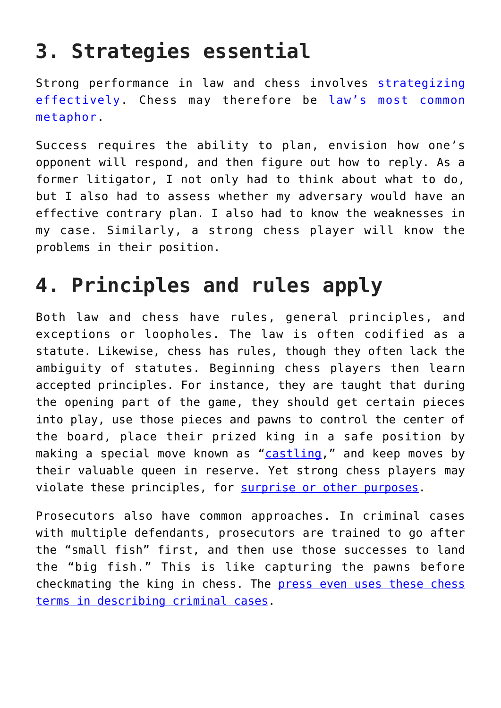## **3. Strategies essential**

Strong performance in law and chess involves [strategizing](https://books.google.com/books/about/Modern_Chess_Strategy.html?id=aClc5YZ13GMC) [effectively.](https://books.google.com/books/about/Modern_Chess_Strategy.html?id=aClc5YZ13GMC) Chess may therefore be [law's most common](https://www.law.com/newyorklawjournal/2019/10/08/chess-is-a-serious-game-but-reading-about-it-is-a-delight/?slreturn=20191110111106) [metaphor.](https://www.law.com/newyorklawjournal/2019/10/08/chess-is-a-serious-game-but-reading-about-it-is-a-delight/?slreturn=20191110111106)

Success requires the ability to plan, envision how one's opponent will respond, and then figure out how to reply. As a former litigator, I not only had to think about what to do, but I also had to assess whether my adversary would have an effective contrary plan. I also had to know the weaknesses in my case. Similarly, a strong chess player will know the problems in their position.

### **4. Principles and rules apply**

Both law and chess have rules, general principles, and exceptions or loopholes. The law is often codified as a statute. Likewise, chess has rules, though they often lack the ambiguity of statutes. Beginning chess players then learn accepted principles. For instance, they are taught that during the opening part of the game, they should get certain pieces into play, use those pieces and pawns to control the center of the board, place their prized king in a safe position by making a special move known as "[castling](https://www.chess.com/article/view/how-to-castle-in-chess)," and keep moves by their valuable queen in reserve. Yet strong chess players may violate these principles, for [surprise or other purposes.](https://chessimprover.com/9-lessons-to-learn-from-bill-gates-9-move-loss-to-magnus-carlsen/)

Prosecutors also have common approaches. In criminal cases with multiple defendants, prosecutors are trained to go after the "small fish" first, and then use those successes to land the "big fish." This is like capturing the pawns before checkmating the king in chess. The [press even uses these chess](https://www.sltrib.com/news/2019/08/29/criminal-kingpin-or-just/) [terms in describing criminal cases.](https://www.sltrib.com/news/2019/08/29/criminal-kingpin-or-just/)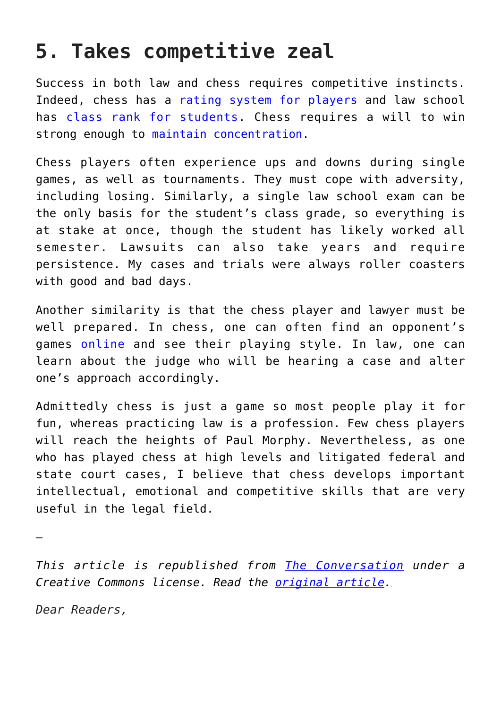#### **5. Takes competitive zeal**

Success in both law and chess requires competitive instincts. Indeed, chess has a [rating system for players](https://www.chess.com/article/view/chess-ratings---how-they-work) and law school has [class rank for students.](https://www.bcgsearch.com/bcgguide/decoding_class_rankings_what_should_therecruiter_Look_for.php) Chess requires a will to win strong enough to [maintain concentration](https://abovethelaw.com/2015/06/3-things-law-students-and-young-lawyers-can-learn-from-chess-grandmaster-garry-kasparov/).

Chess players often experience ups and downs during single games, as well as tournaments. They must cope with adversity, including losing. Similarly, a single law school exam can be the only basis for the student's class grade, so everything is at stake at once, though the student has likely worked all semester. Lawsuits can also take years and require persistence. My cases and trials were always roller coasters with good and bad days.

Another similarity is that the chess player and lawyer must be well prepared. In chess, one can often find an opponent's games [online](https://database.chessbase.com/?lang=en) and see their playing style. In law, one can learn about the judge who will be hearing a case and alter one's approach accordingly.

Admittedly chess is just a game so most people play it for fun, whereas practicing law is a profession. Few chess players will reach the heights of Paul Morphy. Nevertheless, as one who has played chess at high levels and litigated federal and state court cases, I believe that chess develops important intellectual, emotional and competitive skills that are very useful in the legal field.

—

*This article is republished from [The Conversation](http://theconversation.com) under a Creative Commons license. Read the [original article.](http://theconversation.com/5-ways-chess-can-make-you-a-better-law-student-and-lawyer-127290)*

*Dear Readers,*